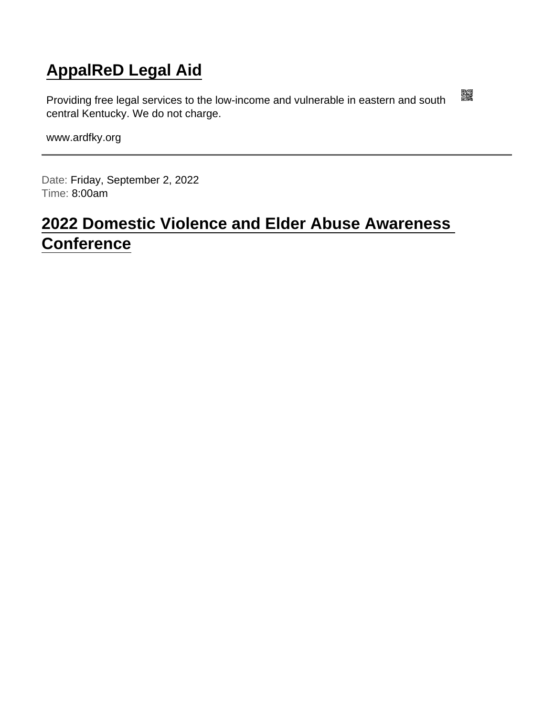### [AppalReD Legal Aid](https://www.ardfky.org/)

Providing free legal services to the low-income and vulnerable in eastern and south central Kentucky. We do not charge.

www.ardfky.org

Date: Friday, September 2, 2022 Time: 8:00am

### [2022 Domestic Violence and Elder Abuse Awareness](https://www.ardfky.org/conference)  **[Conference](https://www.ardfky.org/conference)**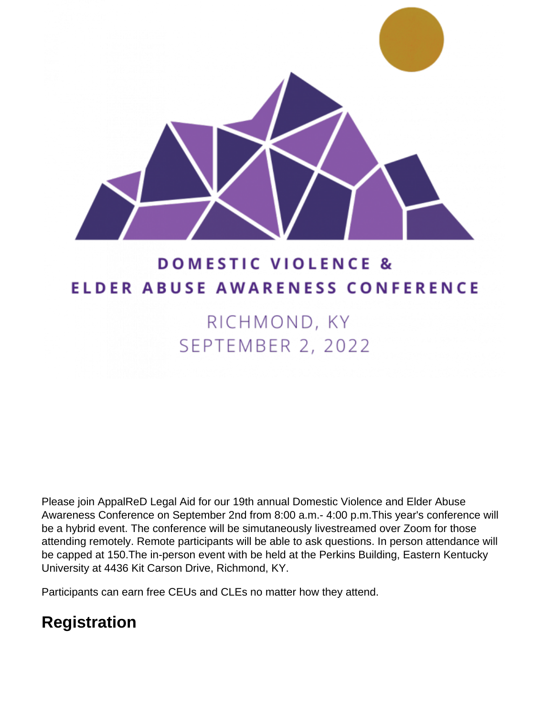

# **DOMESTIC VIOLENCE & ELDER ABUSE AWARENESS CONFERENCE**

# RICHMOND, KY SEPTEMBER 2, 2022

Please join AppalReD Legal Aid for our 19th annual Domestic Violence and Elder Abuse Awareness Conference on September 2nd from 8:00 a.m.- 4:00 p.m.This year's conference will be a hybrid event. The conference will be simutaneously livestreamed over Zoom for those attending remotely. Remote participants will be able to ask questions. In person attendance will be capped at 150.The in-person event with be held at the Perkins Building, Eastern Kentucky University at 4436 Kit Carson Drive, Richmond, KY.

Participants can earn free CEUs and CLEs no matter how they attend.

## **Registration**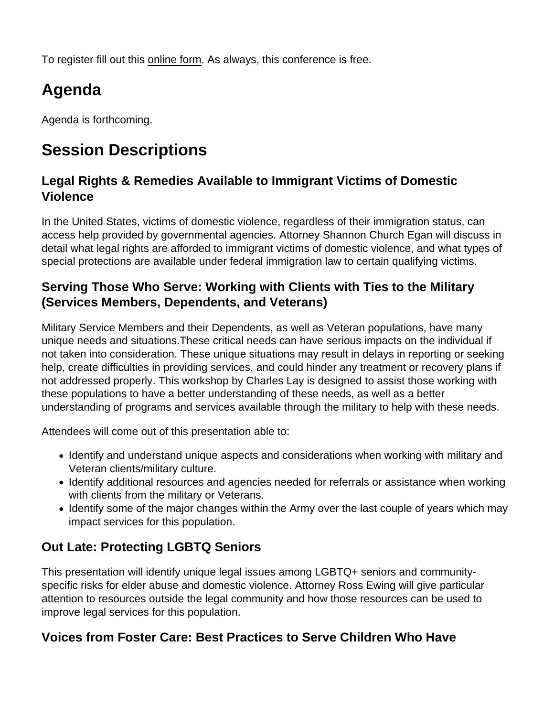To register fill out this [online form.](https://ardfky.wufoo.com/forms/z1hj0gyc0bxpzyi) As always, this conference is free.

## Agenda

Agenda is forthcoming.

## Session Descriptions

Legal Rights & Remedies Available to Immigrant Victims of Domestic Violence

In the United States, victims of domestic violence, regardless of their immigration status, can access help provided by governmental agencies. Attorney Shannon Church Egan will discuss in detail what legal rights are afforded to immigrant victims of domestic violence, and what types of special protections are available under federal immigration law to certain qualifying victims.

Serving Those Who Serve: Working with Clients with Ties to the Military (Services Members, Dependents, and Veterans)

Military Service Members and their Dependents, as well as Veteran populations, have many unique needs and situations.These critical needs can have serious impacts on the individual if not taken into consideration. These unique situations may result in delays in reporting or seeking help, create difficulties in providing services, and could hinder any treatment or recovery plans if not addressed properly. This workshop by Charles Lay is designed to assist those working with these populations to have a better understanding of these needs, as well as a better understanding of programs and services available through the military to help with these needs.

Attendees will come out of this presentation able to:

- Identify and understand unique aspects and considerations when working with military and Veteran clients/military culture.
- Identify additional resources and agencies needed for referrals or assistance when working with clients from the military or Veterans.
- Identify some of the major changes within the Army over the last couple of years which may impact services for this population.

#### Out Late: Protecting LGBTQ Seniors

This presentation will identify unique legal issues among LGBTQ+ seniors and communityspecific risks for elder abuse and domestic violence. Attorney Ross Ewing will give particular attention to resources outside the legal community and how those resources can be used to improve legal services for this population.

Voices from Foster Care: Best Practices to Serve Children Who Have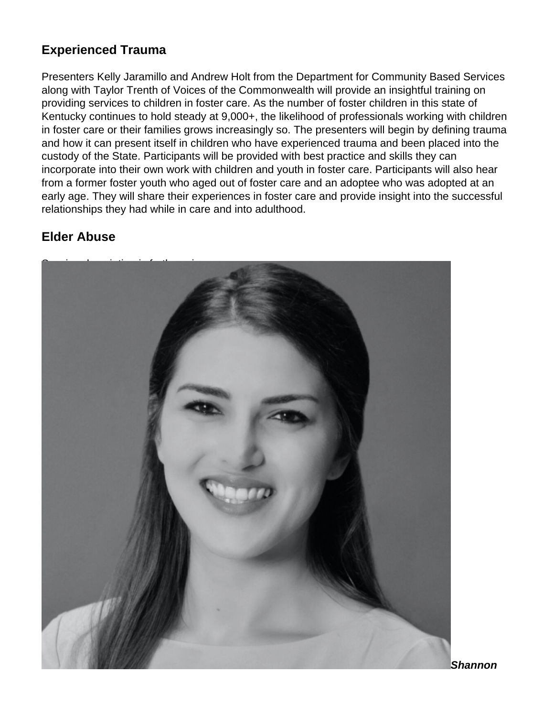#### **Experienced Trauma**

Presenters Kelly Jaramillo and Andrew Holt from the Department for Community Based Services along with Taylor Trenth of Voices of the Commonwealth will provide an insightful training on providing services to children in foster care. As the number of foster children in this state of Kentucky continues to hold steady at 9,000+, the likelihood of professionals working with children in foster care or their families grows increasingly so. The presenters will begin by defining trauma and how it can present itself in children who have experienced trauma and been placed into the custody of the State. Participants will be provided with best practice and skills they can incorporate into their own work with children and youth in foster care. Participants will also hear from a former foster youth who aged out of foster care and an adoptee who was adopted at an early age. They will share their experiences in foster care and provide insight into the successful relationships they had while in care and into adulthood.

#### **Elder Abuse**



**Shannon**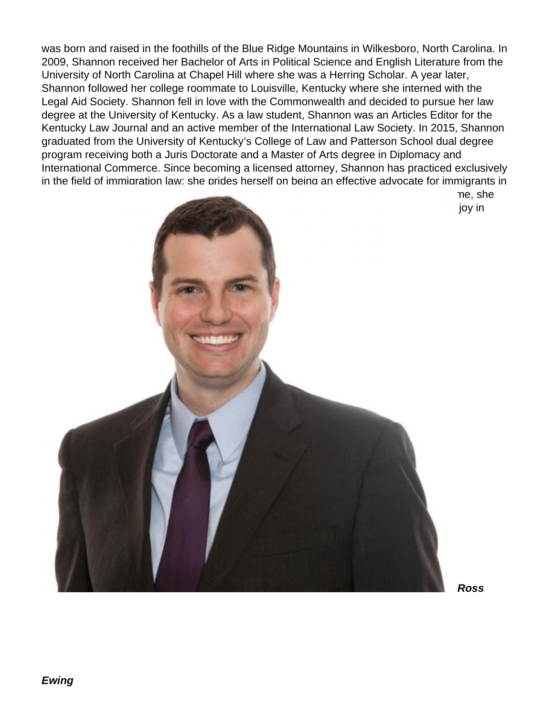was born and raised in the foothills of the Blue Ridge Mountains in Wilkesboro, North Carolina. In 2009, Shannon received her Bachelor of Arts in Political Science and English Literature from the University of North Carolina at Chapel Hill where she was a Herring Scholar. A year later, Shannon followed her college roommate to Louisville, Kentucky where she interned with the Legal Aid Society. Shannon fell in love with the Commonwealth and decided to pursue her law degree at the University of Kentucky. As a law student, Shannon was an Articles Editor for the Kentucky Law Journal and an active member of the International Law Society. In 2015, Shannon graduated from the University of Kentucky's College of Law and Patterson School dual degree program receiving both a Juris Doctorate and a Master of Arts degree in Diplomacy and International Commerce. Since becoming a licensed attorney, Shannon has practiced exclusively in the field of immigration law; she prides herself on being an effective advocate for immigrants in

 $t$ raveling, and cheering, and cheering on the Carolina Tarheels.

 $t$  states of  $K$  shannon is fluent in  $\mathbb{R}$  around in Spanish. In her free time, she enjoy in the spending time with her husband, Connor, and the son, Beckett. She also finds in the son, Beckett. She also finds in the son, Beckett. She also finds in the son, Beckett. She also finds in the son, Beckett. She

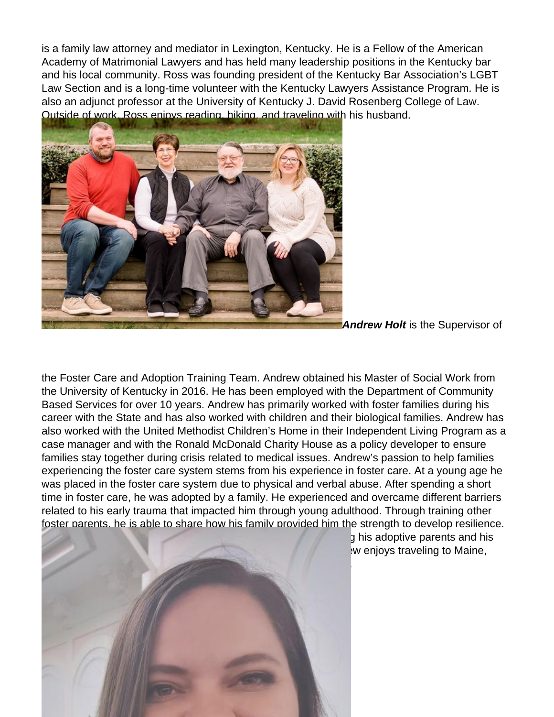is a family law attorney and mediator in Lexington, Kentucky. He is a Fellow of the American Academy of Matrimonial Lawyers and has held many leadership positions in the Kentucky bar and his local community. Ross was founding president of the Kentucky Bar Association's LGBT Law Section and is a long-time volunteer with the Kentucky Lawyers Assistance Program. He is also an adjunct professor at the University of Kentucky J. David Rosenberg College of Law. Outside of work, Ross enjoys reading, hiking, and traveling with his husband.



**Andrew Holt** is the Supervisor of

the Foster Care and Adoption Training Team. Andrew obtained his Master of Social Work from the University of Kentucky in 2016. He has been employed with the Department of Community Based Services for over 10 years. Andrew has primarily worked with foster families during his career with the State and has also worked with children and their biological families. Andrew has also worked with the United Methodist Children's Home in their Independent Living Program as a case manager and with the Ronald McDonald Charity House as a policy developer to ensure families stay together during crisis related to medical issues. Andrew's passion to help families experiencing the foster care system stems from his experience in foster care. At a young age he was placed in the foster care system due to physical and verbal abuse. After spending a short time in foster care, he was adopted by a family. He experienced and overcame different barriers related to his early trauma that impacted him through young adulthood. Through training other foster parents, he is able to share how his family provided him the strength to develop resilience.



 $\alpha$  his adoptive parents and his  $\mathbf w$  enjoys traveling to Maine,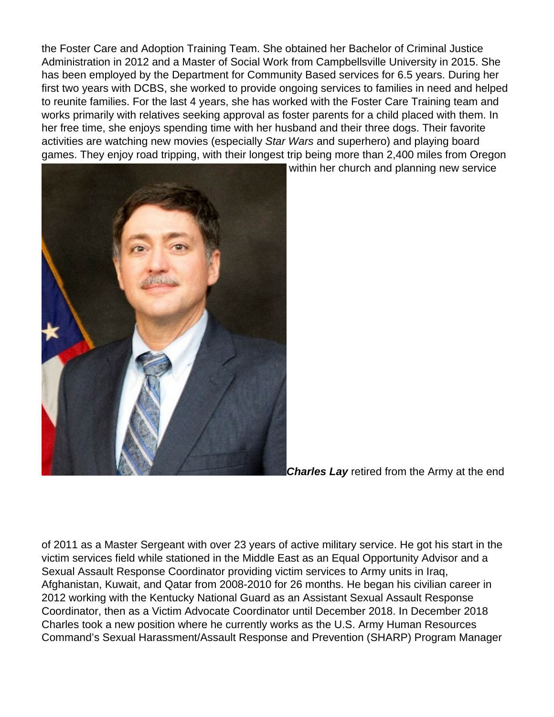the Foster Care and Adoption Training Team. She obtained her Bachelor of Criminal Justice Administration in 2012 and a Master of Social Work from Campbellsville University in 2015. She has been employed by the Department for Community Based services for 6.5 years. During her first two years with DCBS, she worked to provide ongoing services to families in need and helped to reunite families. For the last 4 years, she has worked with the Foster Care Training team and works primarily with relatives seeking approval as foster parents for a child placed with them. In her free time, she enjoys spending time with her husband and their three dogs. Their favorite activities are watching new movies (especially Star Wars and superhero) and playing board games. They enjoy road tripping, with their longest trip being more than 2,400 miles from Oregon



within her church and planning new service

**Charles Lay** retired from the Army at the end

of 2011 as a Master Sergeant with over 23 years of active military service. He got his start in the victim services field while stationed in the Middle East as an Equal Opportunity Advisor and a Sexual Assault Response Coordinator providing victim services to Army units in Iraq, Afghanistan, Kuwait, and Qatar from 2008-2010 for 26 months. He began his civilian career in 2012 working with the Kentucky National Guard as an Assistant Sexual Assault Response Coordinator, then as a Victim Advocate Coordinator until December 2018. In December 2018 Charles took a new position where he currently works as the U.S. Army Human Resources Command's Sexual Harassment/Assault Response and Prevention (SHARP) Program Manager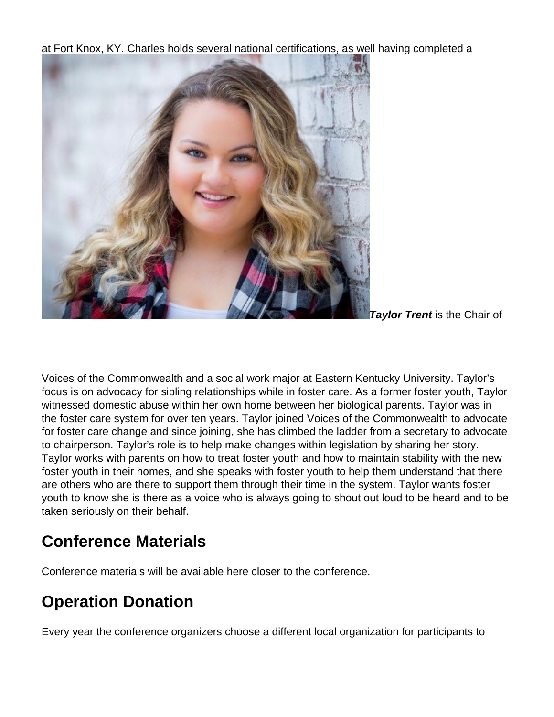at Fort Knox, KY. Charles holds several national certifications, as well having completed a



**Taylor Trent** is the Chair of

Voices of the Commonwealth and a social work major at Eastern Kentucky University. Taylor's focus is on advocacy for sibling relationships while in foster care. As a former foster youth, Taylor witnessed domestic abuse within her own home between her biological parents. Taylor was in the foster care system for over ten years. Taylor joined Voices of the Commonwealth to advocate for foster care change and since joining, she has climbed the ladder from a secretary to advocate to chairperson. Taylor's role is to help make changes within legislation by sharing her story. Taylor works with parents on how to treat foster youth and how to maintain stability with the new foster youth in their homes, and she speaks with foster youth to help them understand that there are others who are there to support them through their time in the system. Taylor wants foster youth to know she is there as a voice who is always going to shout out loud to be heard and to be taken seriously on their behalf.

### **Conference Materials**

Conference materials will be available here closer to the conference.

### **Operation Donation**

Every year the conference organizers choose a different local organization for participants to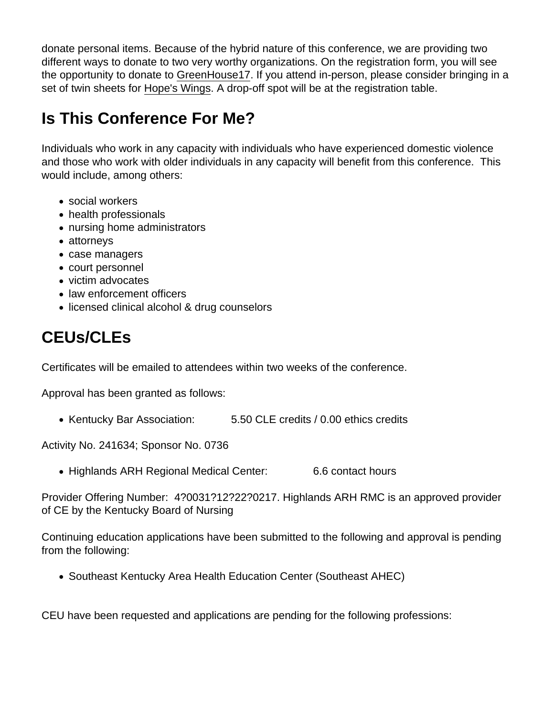donate personal items. Because of the hybrid nature of this conference, we are providing two different ways to donate to two very worthy organizations. On the registration form, you will see the opportunity to donate to [GreenHouse17.](https://greenhouse17.org/) If you attend in-person, please consider bringing in a set of twin sheets for [Hope's Wings](https://www.hopeswings.org/). A drop-off spot will be at the registration table.

### Is This Conference For Me?

Individuals who work in any capacity with individuals who have experienced domestic violence and those who work with older individuals in any capacity will benefit from this conference. This would include, among others:

- social workers
- health professionals
- nursing home administrators
- attorneys
- case managers
- court personnel
- victim advocates
- law enforcement officers
- licensed clinical alcohol & drug counselors

### CEUs/CLEs

Certificates will be emailed to attendees within two weeks of the conference.

Approval has been granted as follows:

• Kentucky Bar Association: 5.50 CLE credits / 0.00 ethics credits

Activity No. 241634; Sponsor No. 0736

• Highlands ARH Regional Medical Center: 6.6 contact hours

Provider Offering Number: 4?0031?12?22?0217. Highlands ARH RMC is an approved provider of CE by the Kentucky Board of Nursing

Continuing education applications have been submitted to the following and approval is pending from the following:

Southeast Kentucky Area Health Education Center (Southeast AHEC)

CEU have been requested and applications are pending for the following professions: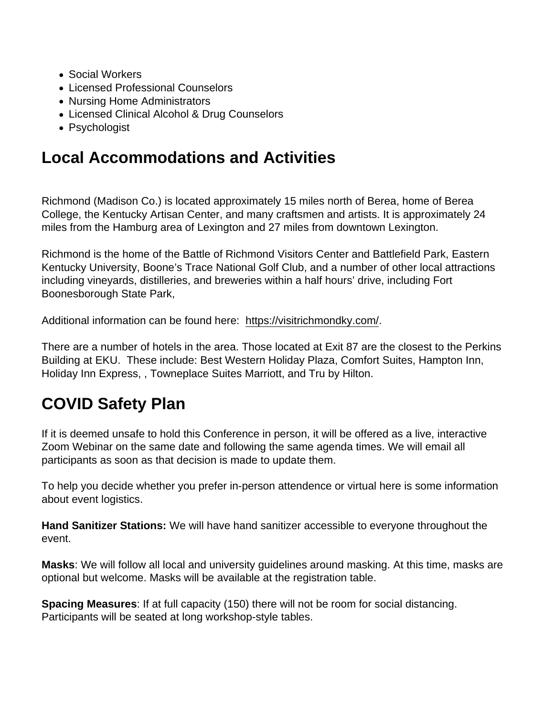- Social Workers
- Licensed Professional Counselors
- Nursing Home Administrators
- Licensed Clinical Alcohol & Drug Counselors
- Psychologist

### Local Accommodations and Activities

Richmond (Madison Co.) is located approximately 15 miles north of Berea, home of Berea College, the Kentucky Artisan Center, and many craftsmen and artists. It is approximately 24 miles from the Hamburg area of Lexington and 27 miles from downtown Lexington.

Richmond is the home of the Battle of Richmond Visitors Center and Battlefield Park, Eastern Kentucky University, Boone's Trace National Golf Club, and a number of other local attractions including vineyards, distilleries, and breweries within a half hours' drive, including Fort Boonesborough State Park,

Additional information can be found here: [https://visitrichmondky.com/.](https://visitrichmondky.com/)

There are a number of hotels in the area. Those located at Exit 87 are the closest to the Perkins Building at EKU. These include: Best Western Holiday Plaza, Comfort Suites, Hampton Inn, Holiday Inn Express, , Towneplace Suites Marriott, and Tru by Hilton.

### COVID Safety Plan

If it is deemed unsafe to hold this Conference in person, it will be offered as a live, interactive Zoom Webinar on the same date and following the same agenda times. We will email all participants as soon as that decision is made to update them.

To help you decide whether you prefer in-person attendence or virtual here is some information about event logistics.

Hand Sanitizer Stations: We will have hand sanitizer accessible to everyone throughout the event.

Masks : We will follow all local and university guidelines around masking. At this time, masks are optional but welcome. Masks will be available at the registration table.

Spacing Measures : If at full capacity (150) there will not be room for social distancing. Participants will be seated at long workshop-style tables.